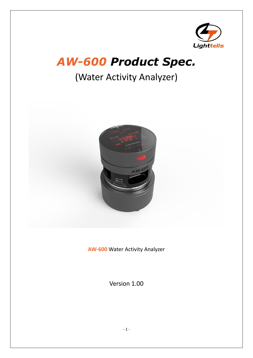

## *AW-600 Product Spec.*

## (Water Activity Analyzer)



**AW-600** Water Activity Analyzer

Version 1.00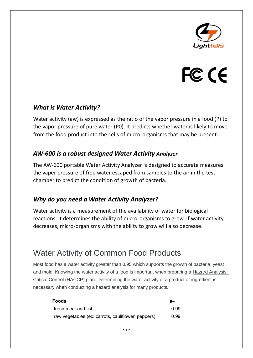

# FC CE

#### *What is Water Activity?*

Water activity (aw) is expressed as the ratio of the vapor pressure in a food (P) to the vapor pressure of pure water (P0). It predicts whether water is likely to move from the food product into the cells of micro-organisms that may be present.

#### *AW-600 is a robust designed Water Activity Analyzer*

The AW-600 portable Water Activity Analyzer is designed to accurate measures the vaper pressure of free water escaped from samples to the air in the test chamber to predict the condition of growth of bacteria.

#### *Why do you need a Water Activity Analyzer?*

Water activity is a measurement of the availability of water for biological reactions. It determines the ability of micro-organisms to grow. If water activity decreases, micro-organisms with the ability to grow will also decrease.

### Water Activity of Common Food Products

Most food has a water activity greater than 0.95 which supports the growth of bacteria, yeast and mold. Knowing the water activity of a food is important when preparing a Hazard [Analysis](https://www.manitoba.ca/agriculture/food-safety/at-the-food-processor/haccp/index.html) Critical Control [\(HACCP\)](https://www.manitoba.ca/agriculture/food-safety/at-the-food-processor/haccp/index.html) plan. Determining the water activity of a product or ingredient is necessary when conducting a hazard analysis for many products.

| <b>Foods</b>                                       | aw   |  |
|----------------------------------------------------|------|--|
| fresh meat and fish                                | O 99 |  |
| raw vegetables (ex: carrots, cauliflower, peppers) | 0.99 |  |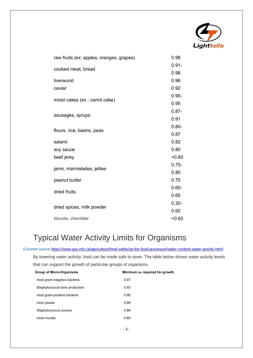

| raw fruits (ex: apples, oranges, grapes) | 0.98     |
|------------------------------------------|----------|
| cooked meat, bread                       | $0.91 -$ |
|                                          | 0.98     |
| liverwurst                               | 0.96     |
| caviar                                   | 0.92     |
|                                          | $0.90 -$ |
| moist cakes (ex : carrot cake)           | 0.95     |
|                                          | $0.87 -$ |
| sausages, syrups                         | 0.91     |
|                                          | $0.80 -$ |
| flours, rice, beans, peas                | 0.87     |
| salami                                   | 0.82     |
| soy sauce                                | 0.80     |
| beef jerky                               | < 0.80   |
|                                          | $0.75 -$ |
| jams, marmalades, jellies                | 0.80     |
| peanut butter                            | 0.70     |
| dried fruits                             | $0.60 -$ |
|                                          | 0.65     |
| dried spices, milk powder                | $0.20 -$ |
|                                          | 0.60     |
| biscuits, chocolate                      | < 0.60   |

## Typical Water Activity Limits for Organisms

(Content source [https://www.gov.mb.ca/agriculture/food-safety/at-the-food-processor/water-content-water-activity.html\)](https://www.gov.mb.ca/agriculture/food-safety/at-the-food-processor/water-content-water-activity.html)

By lowering water activity, food can be made safe to store. The table below shows water activity levels that can support the growth of particular groups of organisms.

| <b>Group of Micro-Organisms</b> | Minimum $a_w$ required for growth |  |
|---------------------------------|-----------------------------------|--|
| most gram-negative bacteria     | 0.97                              |  |
| Staphylococcal toxin production | 0.93                              |  |
| most gram-positive bacteria     | 0.90                              |  |
| most yeasts                     | 0.88                              |  |
| Staphylococcus aureus           | 0.86                              |  |
| most moulds                     | 0.80                              |  |
|                                 |                                   |  |

- 3 -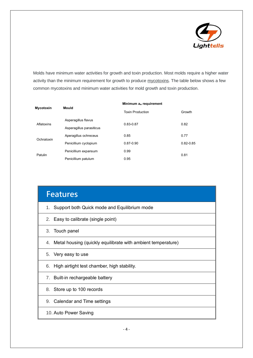

Molds have minimum water activities for growth and toxin production. Most molds require a higher water activity than the minimum requirement for growth to produce [mycotoxins.](https://www.gov.mb.ca/agriculture/food-safety/at-the-food-processor/mycotoxins.html) The table below shows a few common mycotoxins and minimum water activities for mold growth and toxin production.

| <b>Mycotoxin</b> | Mould                    | Minimum $a_w$ requirement |               |  |
|------------------|--------------------------|---------------------------|---------------|--|
|                  |                          | <b>Toxin Production</b>   | Growth        |  |
| Aflatoxins       | Asperagillus flavus      | 0.83-0.87                 | 0.82          |  |
|                  | Asperagillus parasiticus |                           |               |  |
| Ochratoxin       | Aperagillus ochreceus    | 0.85                      | 0.77          |  |
|                  | Penicillium cyclopium    | $0.87 - 0.90$             | $0.82 - 0.85$ |  |
| Patulin          | Penicillium expansum     | 0.99                      | 0.81          |  |
|                  | Penicillium patulum      | 0.95                      |               |  |

| <b>Features</b>                                                    |  |  |
|--------------------------------------------------------------------|--|--|
| Support both Quick mode and Equilibrium mode<br>1.                 |  |  |
| 2. Easy to calibrate (single point)                                |  |  |
| 3. Touch panel                                                     |  |  |
| Metal housing (quickly equilibrate with ambient temperature)<br>4. |  |  |
| 5. Very easy to use                                                |  |  |
| High airtight test chamber, high stability.<br>6.                  |  |  |
| 7. Built-in rechargeable battery                                   |  |  |
| 8. Store up to 100 records                                         |  |  |
| 9. Calendar and Time settings                                      |  |  |
| 10. Auto Power Saving                                              |  |  |